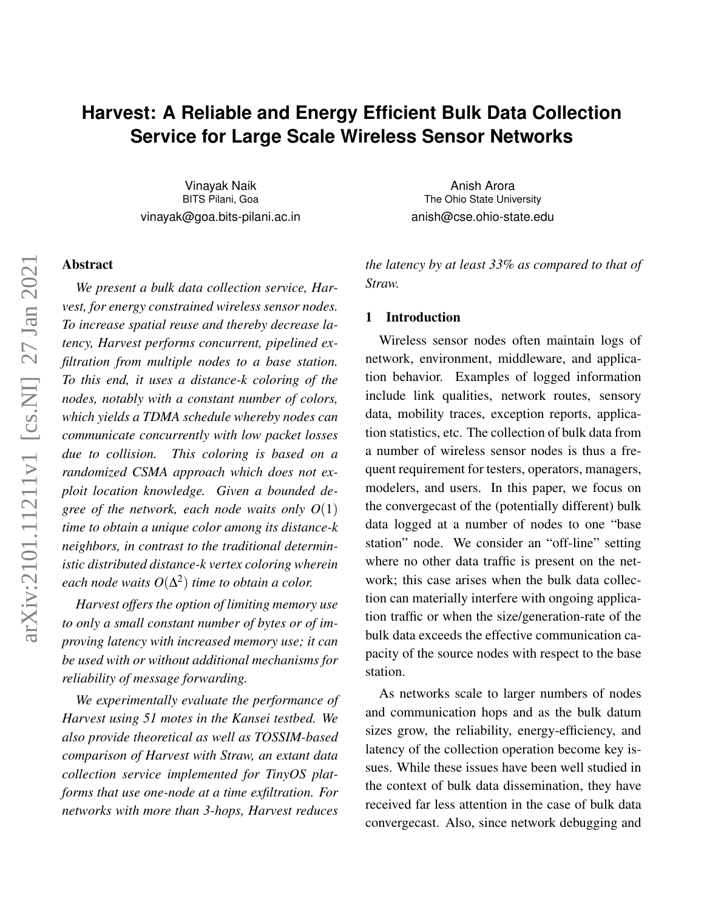# **Harvest: A Reliable and Energy Efficient Bulk Data Collection Service for Large Scale Wireless Sensor Networks**

Vinayak Naik BITS Pilani, Goa vinayak@goa.bits-pilani.ac.in

# Abstract

*We present a bulk data collection service, Harvest, for energy constrained wireless sensor nodes. To increase spatial reuse and thereby decrease latency, Harvest performs concurrent, pipelined exfiltration from multiple nodes to a base station. To this end, it uses a distance-k coloring of the nodes, notably with a constant number of colors, which yields a TDMA schedule whereby nodes can communicate concurrently with low packet losses due to collision. This coloring is based on a randomized CSMA approach which does not exploit location knowledge. Given a bounded degree of the network, each node waits only O*(1) *time to obtain a unique color among its distance-k neighbors, in contrast to the traditional deterministic distributed distance-k vertex coloring wherein each node waits*  $O(\Delta^2)$  *time to obtain a color.* 

*Harvest offers the option of limiting memory use to only a small constant number of bytes or of improving latency with increased memory use; it can be used with or without additional mechanisms for reliability of message forwarding.*

*We experimentally evaluate the performance of Harvest using 51 motes in the Kansei testbed. We also provide theoretical as well as TOSSIM-based comparison of Harvest with Straw, an extant data collection service implemented for TinyOS platforms that use one-node at a time exfiltration. For networks with more than 3-hops, Harvest reduces*

Anish Arora The Ohio State University anish@cse.ohio-state.edu

*the latency by at least 33% as compared to that of Straw.*

# 1 Introduction

Wireless sensor nodes often maintain logs of network, environment, middleware, and application behavior. Examples of logged information include link qualities, network routes, sensory data, mobility traces, exception reports, application statistics, etc. The collection of bulk data from a number of wireless sensor nodes is thus a frequent requirement for testers, operators, managers, modelers, and users. In this paper, we focus on the convergecast of the (potentially different) bulk data logged at a number of nodes to one "base station" node. We consider an "off-line" setting where no other data traffic is present on the network; this case arises when the bulk data collection can materially interfere with ongoing application traffic or when the size/generation-rate of the bulk data exceeds the effective communication capacity of the source nodes with respect to the base station.

As networks scale to larger numbers of nodes and communication hops and as the bulk datum sizes grow, the reliability, energy-efficiency, and latency of the collection operation become key issues. While these issues have been well studied in the context of bulk data dissemination, they have received far less attention in the case of bulk data convergecast. Also, since network debugging and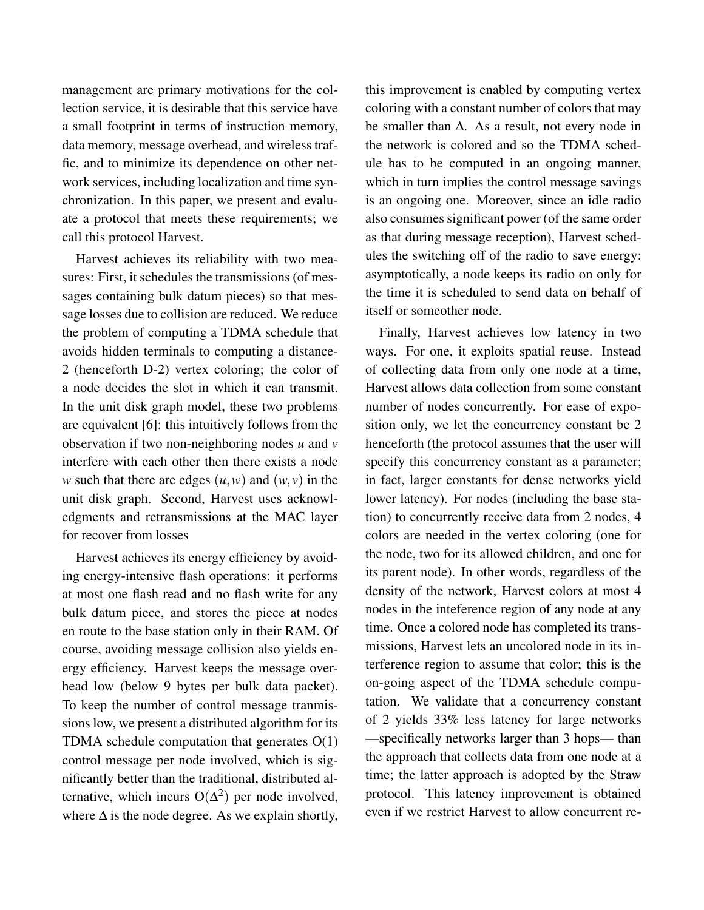management are primary motivations for the collection service, it is desirable that this service have a small footprint in terms of instruction memory, data memory, message overhead, and wireless traffic, and to minimize its dependence on other network services, including localization and time synchronization. In this paper, we present and evaluate a protocol that meets these requirements; we call this protocol Harvest.

Harvest achieves its reliability with two measures: First, it schedules the transmissions (of messages containing bulk datum pieces) so that message losses due to collision are reduced. We reduce the problem of computing a TDMA schedule that avoids hidden terminals to computing a distance-2 (henceforth D-2) vertex coloring; the color of a node decides the slot in which it can transmit. In the unit disk graph model, these two problems are equivalent [6]: this intuitively follows from the observation if two non-neighboring nodes *u* and *v* interfere with each other then there exists a node *w* such that there are edges  $(u, w)$  and  $(w, v)$  in the unit disk graph. Second, Harvest uses acknowledgments and retransmissions at the MAC layer for recover from losses

Harvest achieves its energy efficiency by avoiding energy-intensive flash operations: it performs at most one flash read and no flash write for any bulk datum piece, and stores the piece at nodes en route to the base station only in their RAM. Of course, avoiding message collision also yields energy efficiency. Harvest keeps the message overhead low (below 9 bytes per bulk data packet). To keep the number of control message tranmissions low, we present a distributed algorithm for its TDMA schedule computation that generates O(1) control message per node involved, which is significantly better than the traditional, distributed alternative, which incurs  $O(\Delta^2)$  per node involved, where  $\Delta$  is the node degree. As we explain shortly,

this improvement is enabled by computing vertex coloring with a constant number of colors that may be smaller than ∆. As a result, not every node in the network is colored and so the TDMA schedule has to be computed in an ongoing manner, which in turn implies the control message savings is an ongoing one. Moreover, since an idle radio also consumes significant power (of the same order as that during message reception), Harvest schedules the switching off of the radio to save energy: asymptotically, a node keeps its radio on only for the time it is scheduled to send data on behalf of itself or someother node.

Finally, Harvest achieves low latency in two ways. For one, it exploits spatial reuse. Instead of collecting data from only one node at a time, Harvest allows data collection from some constant number of nodes concurrently. For ease of exposition only, we let the concurrency constant be 2 henceforth (the protocol assumes that the user will specify this concurrency constant as a parameter; in fact, larger constants for dense networks yield lower latency). For nodes (including the base station) to concurrently receive data from 2 nodes, 4 colors are needed in the vertex coloring (one for the node, two for its allowed children, and one for its parent node). In other words, regardless of the density of the network, Harvest colors at most 4 nodes in the inteference region of any node at any time. Once a colored node has completed its transmissions, Harvest lets an uncolored node in its interference region to assume that color; this is the on-going aspect of the TDMA schedule computation. We validate that a concurrency constant of 2 yields 33% less latency for large networks —specifically networks larger than 3 hops— than the approach that collects data from one node at a time; the latter approach is adopted by the Straw protocol. This latency improvement is obtained even if we restrict Harvest to allow concurrent re-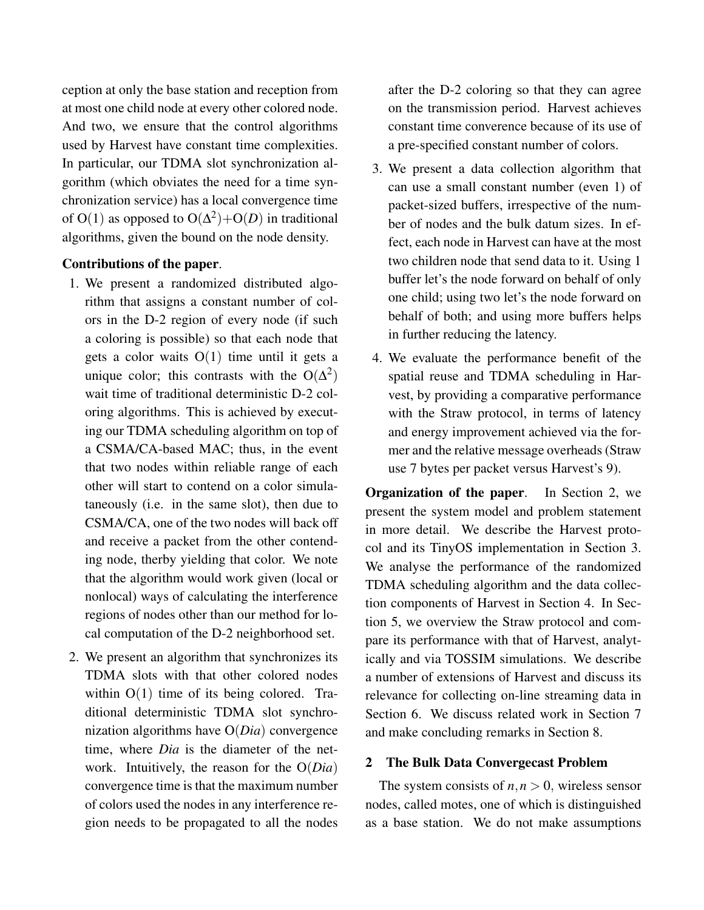ception at only the base station and reception from at most one child node at every other colored node. And two, we ensure that the control algorithms used by Harvest have constant time complexities. In particular, our TDMA slot synchronization algorithm (which obviates the need for a time synchronization service) has a local convergence time of O(1) as opposed to  $O(\Delta^2) + O(D)$  in traditional algorithms, given the bound on the node density.

# Contributions of the paper.

- 1. We present a randomized distributed algorithm that assigns a constant number of colors in the D-2 region of every node (if such a coloring is possible) so that each node that gets a color waits  $O(1)$  time until it gets a unique color; this contrasts with the  $O(\Delta^2)$ wait time of traditional deterministic D-2 coloring algorithms. This is achieved by executing our TDMA scheduling algorithm on top of a CSMA/CA-based MAC; thus, in the event that two nodes within reliable range of each other will start to contend on a color simulataneously (i.e. in the same slot), then due to CSMA/CA, one of the two nodes will back off and receive a packet from the other contending node, therby yielding that color. We note that the algorithm would work given (local or nonlocal) ways of calculating the interference regions of nodes other than our method for local computation of the D-2 neighborhood set.
- 2. We present an algorithm that synchronizes its TDMA slots with that other colored nodes within  $O(1)$  time of its being colored. Traditional deterministic TDMA slot synchronization algorithms have O(*Dia*) convergence time, where *Dia* is the diameter of the network. Intuitively, the reason for the O(*Dia*) convergence time is that the maximum number of colors used the nodes in any interference region needs to be propagated to all the nodes

after the D-2 coloring so that they can agree on the transmission period. Harvest achieves constant time converence because of its use of a pre-specified constant number of colors.

- 3. We present a data collection algorithm that can use a small constant number (even 1) of packet-sized buffers, irrespective of the number of nodes and the bulk datum sizes. In effect, each node in Harvest can have at the most two children node that send data to it. Using 1 buffer let's the node forward on behalf of only one child; using two let's the node forward on behalf of both; and using more buffers helps in further reducing the latency.
- 4. We evaluate the performance benefit of the spatial reuse and TDMA scheduling in Harvest, by providing a comparative performance with the Straw protocol, in terms of latency and energy improvement achieved via the former and the relative message overheads (Straw use 7 bytes per packet versus Harvest's 9).

Organization of the paper. In Section 2, we present the system model and problem statement in more detail. We describe the Harvest protocol and its TinyOS implementation in Section 3. We analyse the performance of the randomized TDMA scheduling algorithm and the data collection components of Harvest in Section 4. In Section 5, we overview the Straw protocol and compare its performance with that of Harvest, analytically and via TOSSIM simulations. We describe a number of extensions of Harvest and discuss its relevance for collecting on-line streaming data in Section 6. We discuss related work in Section 7 and make concluding remarks in Section 8.

#### 2 The Bulk Data Convergecast Problem

The system consists of  $n, n > 0$ , wireless sensor nodes, called motes, one of which is distinguished as a base station. We do not make assumptions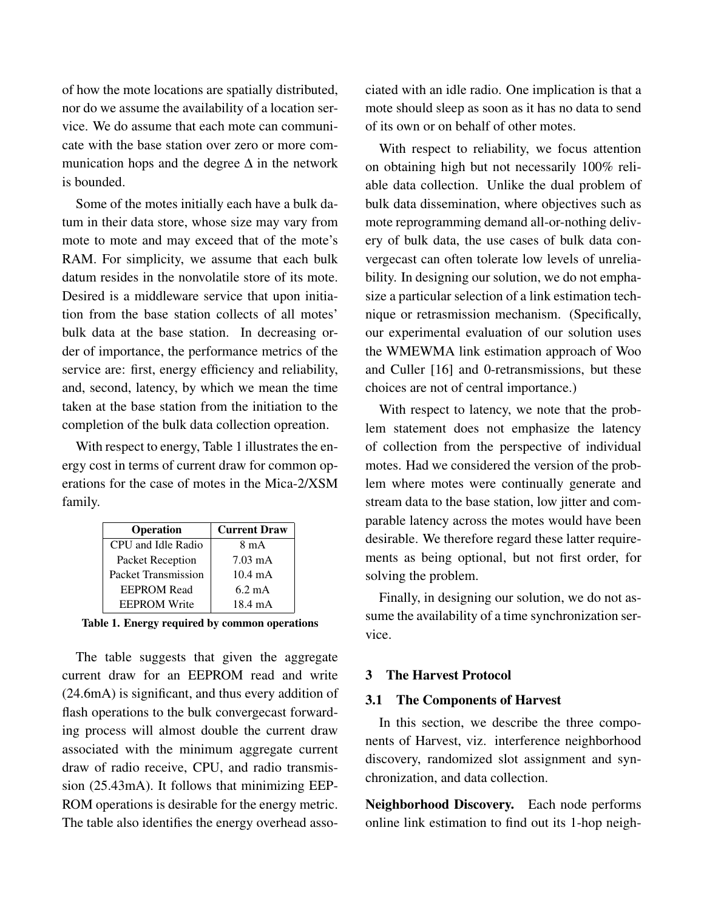of how the mote locations are spatially distributed, nor do we assume the availability of a location service. We do assume that each mote can communicate with the base station over zero or more communication hops and the degree  $\Delta$  in the network is bounded.

Some of the motes initially each have a bulk datum in their data store, whose size may vary from mote to mote and may exceed that of the mote's RAM. For simplicity, we assume that each bulk datum resides in the nonvolatile store of its mote. Desired is a middleware service that upon initiation from the base station collects of all motes' bulk data at the base station. In decreasing order of importance, the performance metrics of the service are: first, energy efficiency and reliability, and, second, latency, by which we mean the time taken at the base station from the initiation to the completion of the bulk data collection opreation.

With respect to energy, Table 1 illustrates the energy cost in terms of current draw for common operations for the case of motes in the Mica-2/XSM family.

| <b>Operation</b>    | <b>Current Draw</b> |
|---------------------|---------------------|
| CPU and Idle Radio  | 8 m A               |
| Packet Reception    | $7.03 \text{ mA}$   |
| Packet Transmission | $10.4 \text{ mA}$   |
| <b>EEPROM Read</b>  | $6.2 \text{ mA}$    |
| <b>EEPROM Write</b> | 18.4 mA             |

|  |  |  |  |  | Table 1. Energy required by common operations |
|--|--|--|--|--|-----------------------------------------------|
|--|--|--|--|--|-----------------------------------------------|

The table suggests that given the aggregate current draw for an EEPROM read and write (24.6mA) is significant, and thus every addition of flash operations to the bulk convergecast forwarding process will almost double the current draw associated with the minimum aggregate current draw of radio receive, CPU, and radio transmission (25.43mA). It follows that minimizing EEP-ROM operations is desirable for the energy metric. The table also identifies the energy overhead associated with an idle radio. One implication is that a mote should sleep as soon as it has no data to send of its own or on behalf of other motes.

With respect to reliability, we focus attention on obtaining high but not necessarily 100% reliable data collection. Unlike the dual problem of bulk data dissemination, where objectives such as mote reprogramming demand all-or-nothing delivery of bulk data, the use cases of bulk data convergecast can often tolerate low levels of unreliability. In designing our solution, we do not emphasize a particular selection of a link estimation technique or retrasmission mechanism. (Specifically, our experimental evaluation of our solution uses the WMEWMA link estimation approach of Woo and Culler [16] and 0-retransmissions, but these choices are not of central importance.)

With respect to latency, we note that the problem statement does not emphasize the latency of collection from the perspective of individual motes. Had we considered the version of the problem where motes were continually generate and stream data to the base station, low jitter and comparable latency across the motes would have been desirable. We therefore regard these latter requirements as being optional, but not first order, for solving the problem.

Finally, in designing our solution, we do not assume the availability of a time synchronization service.

# 3 The Harvest Protocol

# 3.1 The Components of Harvest

In this section, we describe the three components of Harvest, viz. interference neighborhood discovery, randomized slot assignment and synchronization, and data collection.

Neighborhood Discovery. Each node performs online link estimation to find out its 1-hop neigh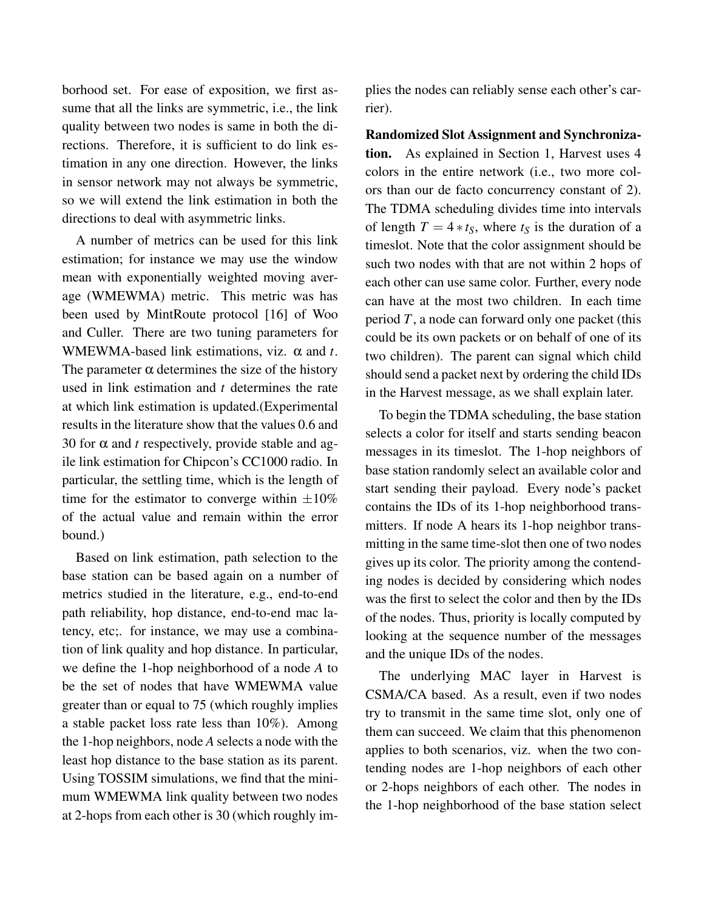borhood set. For ease of exposition, we first assume that all the links are symmetric, i.e., the link quality between two nodes is same in both the directions. Therefore, it is sufficient to do link estimation in any one direction. However, the links in sensor network may not always be symmetric, so we will extend the link estimation in both the directions to deal with asymmetric links.

A number of metrics can be used for this link estimation; for instance we may use the window mean with exponentially weighted moving average (WMEWMA) metric. This metric was has been used by MintRoute protocol [16] of Woo and Culler. There are two tuning parameters for WMEWMA-based link estimations, viz. α and *t*. The parameter  $\alpha$  determines the size of the history used in link estimation and *t* determines the rate at which link estimation is updated.(Experimental results in the literature show that the values 0.6 and 30 for  $\alpha$  and *t* respectively, provide stable and agile link estimation for Chipcon's CC1000 radio. In particular, the settling time, which is the length of time for the estimator to converge within  $\pm 10\%$ of the actual value and remain within the error bound.)

Based on link estimation, path selection to the base station can be based again on a number of metrics studied in the literature, e.g., end-to-end path reliability, hop distance, end-to-end mac latency, etc;. for instance, we may use a combination of link quality and hop distance. In particular, we define the 1-hop neighborhood of a node *A* to be the set of nodes that have WMEWMA value greater than or equal to 75 (which roughly implies a stable packet loss rate less than 10%). Among the 1-hop neighbors, node *A* selects a node with the least hop distance to the base station as its parent. Using TOSSIM simulations, we find that the minimum WMEWMA link quality between two nodes at 2-hops from each other is 30 (which roughly im-

plies the nodes can reliably sense each other's carrier).

Randomized Slot Assignment and Synchronization. As explained in Section 1, Harvest uses 4 colors in the entire network (i.e., two more colors than our de facto concurrency constant of 2). The TDMA scheduling divides time into intervals of length  $T = 4 * t_S$ , where  $t_S$  is the duration of a timeslot. Note that the color assignment should be such two nodes with that are not within 2 hops of each other can use same color. Further, every node can have at the most two children. In each time period *T*, a node can forward only one packet (this could be its own packets or on behalf of one of its two children). The parent can signal which child should send a packet next by ordering the child IDs in the Harvest message, as we shall explain later.

To begin the TDMA scheduling, the base station selects a color for itself and starts sending beacon messages in its timeslot. The 1-hop neighbors of base station randomly select an available color and start sending their payload. Every node's packet contains the IDs of its 1-hop neighborhood transmitters. If node A hears its 1-hop neighbor transmitting in the same time-slot then one of two nodes gives up its color. The priority among the contending nodes is decided by considering which nodes was the first to select the color and then by the IDs of the nodes. Thus, priority is locally computed by looking at the sequence number of the messages and the unique IDs of the nodes.

The underlying MAC layer in Harvest is CSMA/CA based. As a result, even if two nodes try to transmit in the same time slot, only one of them can succeed. We claim that this phenomenon applies to both scenarios, viz. when the two contending nodes are 1-hop neighbors of each other or 2-hops neighbors of each other. The nodes in the 1-hop neighborhood of the base station select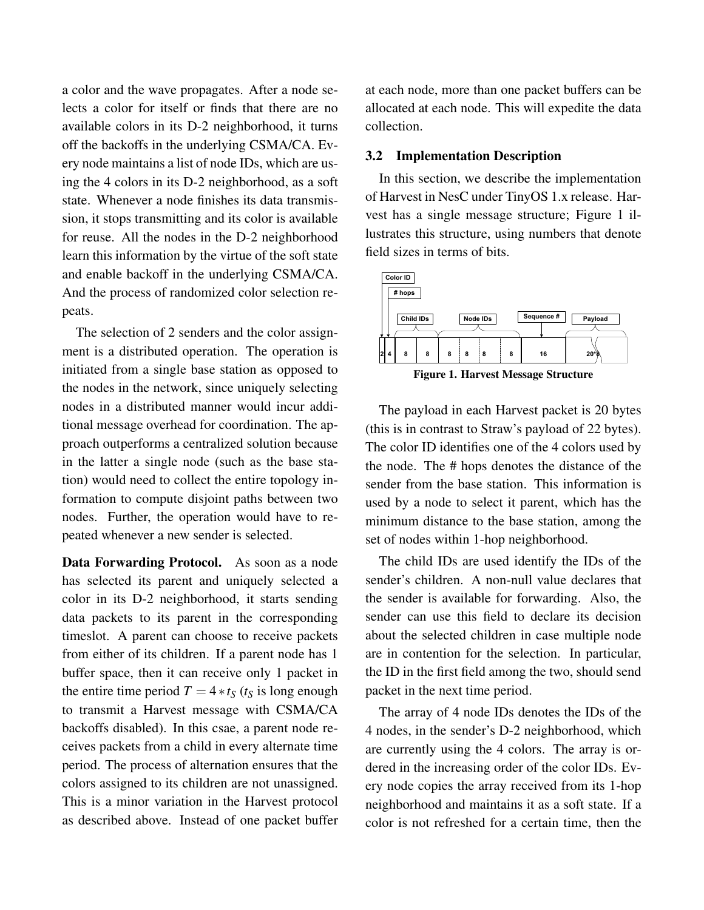a color and the wave propagates. After a node selects a color for itself or finds that there are no available colors in its D-2 neighborhood, it turns off the backoffs in the underlying CSMA/CA. Every node maintains a list of node IDs, which are using the 4 colors in its D-2 neighborhood, as a soft state. Whenever a node finishes its data transmission, it stops transmitting and its color is available for reuse. All the nodes in the D-2 neighborhood learn this information by the virtue of the soft state and enable backoff in the underlying CSMA/CA. And the process of randomized color selection repeats.

The selection of 2 senders and the color assignment is a distributed operation. The operation is initiated from a single base station as opposed to the nodes in the network, since uniquely selecting nodes in a distributed manner would incur additional message overhead for coordination. The approach outperforms a centralized solution because in the latter a single node (such as the base station) would need to collect the entire topology information to compute disjoint paths between two nodes. Further, the operation would have to repeated whenever a new sender is selected.

Data Forwarding Protocol. As soon as a node has selected its parent and uniquely selected a color in its D-2 neighborhood, it starts sending data packets to its parent in the corresponding timeslot. A parent can choose to receive packets from either of its children. If a parent node has 1 buffer space, then it can receive only 1 packet in the entire time period  $T = 4 * t_S$  ( $t_S$  is long enough to transmit a Harvest message with CSMA/CA backoffs disabled). In this csae, a parent node receives packets from a child in every alternate time period. The process of alternation ensures that the colors assigned to its children are not unassigned. This is a minor variation in the Harvest protocol as described above. Instead of one packet buffer at each node, more than one packet buffers can be allocated at each node. This will expedite the data collection.

#### 3.2 Implementation Description

In this section, we describe the implementation of Harvest in NesC under TinyOS 1.x release. Harvest has a single message structure; Figure 1 illustrates this structure, using numbers that denote field sizes in terms of bits.



Figure 1. Harvest Message Structure

The payload in each Harvest packet is 20 bytes (this is in contrast to Straw's payload of 22 bytes). The color ID identifies one of the 4 colors used by the node. The # hops denotes the distance of the sender from the base station. This information is used by a node to select it parent, which has the minimum distance to the base station, among the set of nodes within 1-hop neighborhood.

The child IDs are used identify the IDs of the sender's children. A non-null value declares that the sender is available for forwarding. Also, the sender can use this field to declare its decision about the selected children in case multiple node are in contention for the selection. In particular, the ID in the first field among the two, should send packet in the next time period.

The array of 4 node IDs denotes the IDs of the 4 nodes, in the sender's D-2 neighborhood, which are currently using the 4 colors. The array is ordered in the increasing order of the color IDs. Every node copies the array received from its 1-hop neighborhood and maintains it as a soft state. If a color is not refreshed for a certain time, then the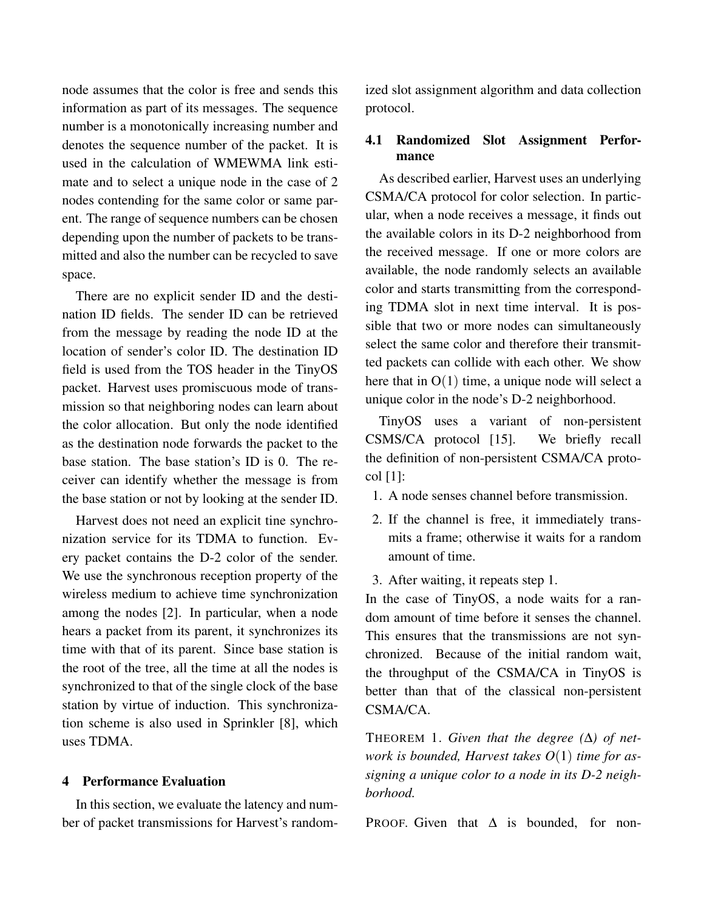node assumes that the color is free and sends this information as part of its messages. The sequence number is a monotonically increasing number and denotes the sequence number of the packet. It is used in the calculation of WMEWMA link estimate and to select a unique node in the case of 2 nodes contending for the same color or same parent. The range of sequence numbers can be chosen depending upon the number of packets to be transmitted and also the number can be recycled to save space.

There are no explicit sender ID and the destination ID fields. The sender ID can be retrieved from the message by reading the node ID at the location of sender's color ID. The destination ID field is used from the TOS header in the TinyOS packet. Harvest uses promiscuous mode of transmission so that neighboring nodes can learn about the color allocation. But only the node identified as the destination node forwards the packet to the base station. The base station's ID is 0. The receiver can identify whether the message is from the base station or not by looking at the sender ID.

Harvest does not need an explicit tine synchronization service for its TDMA to function. Every packet contains the D-2 color of the sender. We use the synchronous reception property of the wireless medium to achieve time synchronization among the nodes [2]. In particular, when a node hears a packet from its parent, it synchronizes its time with that of its parent. Since base station is the root of the tree, all the time at all the nodes is synchronized to that of the single clock of the base station by virtue of induction. This synchronization scheme is also used in Sprinkler [8], which uses TDMA.

## 4 Performance Evaluation

In this section, we evaluate the latency and number of packet transmissions for Harvest's randomized slot assignment algorithm and data collection protocol.

# 4.1 Randomized Slot Assignment Performance

As described earlier, Harvest uses an underlying CSMA/CA protocol for color selection. In particular, when a node receives a message, it finds out the available colors in its D-2 neighborhood from the received message. If one or more colors are available, the node randomly selects an available color and starts transmitting from the corresponding TDMA slot in next time interval. It is possible that two or more nodes can simultaneously select the same color and therefore their transmitted packets can collide with each other. We show here that in  $O(1)$  time, a unique node will select a unique color in the node's D-2 neighborhood.

TinyOS uses a variant of non-persistent CSMS/CA protocol [15]. We briefly recall the definition of non-persistent CSMA/CA protocol [1]:

- 1. A node senses channel before transmission.
- 2. If the channel is free, it immediately transmits a frame; otherwise it waits for a random amount of time.
- 3. After waiting, it repeats step 1.

In the case of TinyOS, a node waits for a random amount of time before it senses the channel. This ensures that the transmissions are not synchronized. Because of the initial random wait, the throughput of the CSMA/CA in TinyOS is better than that of the classical non-persistent CSMA/CA.

THEOREM 1. *Given that the degree (*∆*) of network is bounded, Harvest takes O*(1) *time for assigning a unique color to a node in its D-2 neighborhood.*

PROOF. Given that  $\Delta$  is bounded, for non-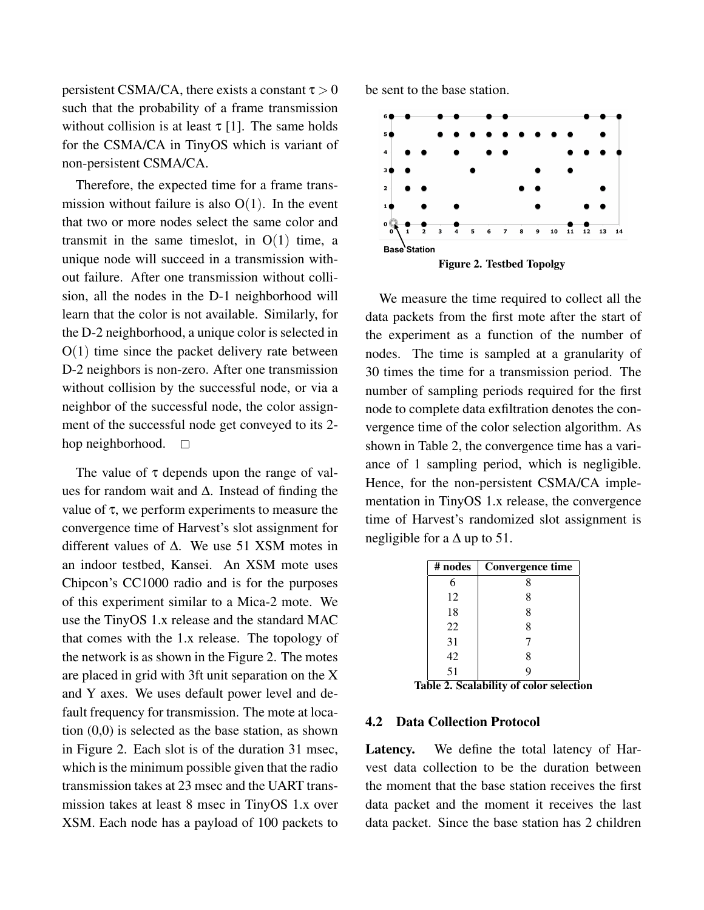persistent CSMA/CA, there exists a constant  $\tau > 0$ such that the probability of a frame transmission without collision is at least  $\tau$  [1]. The same holds for the CSMA/CA in TinyOS which is variant of non-persistent CSMA/CA.

Therefore, the expected time for a frame transmission without failure is also  $O(1)$ . In the event that two or more nodes select the same color and transmit in the same timeslot, in  $O(1)$  time, a unique node will succeed in a transmission without failure. After one transmission without collision, all the nodes in the D-1 neighborhood will learn that the color is not available. Similarly, for the D-2 neighborhood, a unique color is selected in  $O(1)$  time since the packet delivery rate between D-2 neighbors is non-zero. After one transmission without collision by the successful node, or via a neighbor of the successful node, the color assignment of the successful node get conveyed to its 2 hop neighborhood.  $\square$ 

The value of  $\tau$  depends upon the range of values for random wait and ∆. Instead of finding the value of  $\tau$ , we perform experiments to measure the convergence time of Harvest's slot assignment for different values of ∆. We use 51 XSM motes in an indoor testbed, Kansei. An XSM mote uses Chipcon's CC1000 radio and is for the purposes of this experiment similar to a Mica-2 mote. We use the TinyOS 1.x release and the standard MAC that comes with the 1.x release. The topology of the network is as shown in the Figure 2. The motes are placed in grid with 3ft unit separation on the X and Y axes. We uses default power level and default frequency for transmission. The mote at location (0,0) is selected as the base station, as shown in Figure 2. Each slot is of the duration 31 msec, which is the minimum possible given that the radio transmission takes at 23 msec and the UART transmission takes at least 8 msec in TinyOS 1.x over XSM. Each node has a payload of 100 packets to

be sent to the base station.



Figure 2. Testbed Topolgy

We measure the time required to collect all the data packets from the first mote after the start of the experiment as a function of the number of nodes. The time is sampled at a granularity of 30 times the time for a transmission period. The number of sampling periods required for the first node to complete data exfiltration denotes the convergence time of the color selection algorithm. As shown in Table 2, the convergence time has a variance of 1 sampling period, which is negligible. Hence, for the non-persistent CSMA/CA implementation in TinyOS 1.x release, the convergence time of Harvest's randomized slot assignment is negligible for a  $\Delta$  up to 51.

| # nodes             | Convergence time                      |
|---------------------|---------------------------------------|
| 6                   | 8                                     |
| 12                  | 8                                     |
| 18                  | 8                                     |
| 22                  | 8                                     |
| 31                  |                                       |
| 42                  | 8                                     |
| 51<br>-<br>۰.<br>۰. | q<br>$\cdots$<br>-<br>. .<br>۰.<br>۰. |

Table 2. Scalability of color selection

#### 4.2 Data Collection Protocol

Latency. We define the total latency of Harvest data collection to be the duration between the moment that the base station receives the first data packet and the moment it receives the last data packet. Since the base station has 2 children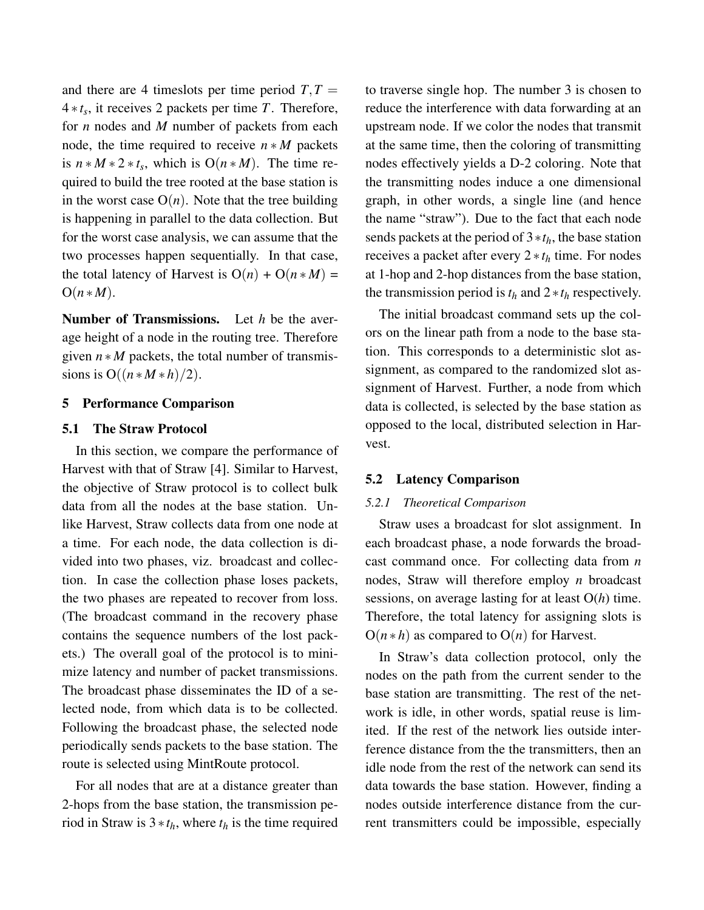and there are 4 timeslots per time period  $T, T =$ 4 ∗ *t<sup>s</sup>* , it receives 2 packets per time *T*. Therefore, for *n* nodes and *M* number of packets from each node, the time required to receive  $n * M$  packets is  $n * M * 2 * t_s$ , which is  $O(n * M)$ . The time required to build the tree rooted at the base station is in the worst case  $O(n)$ . Note that the tree building is happening in parallel to the data collection. But for the worst case analysis, we can assume that the two processes happen sequentially. In that case, the total latency of Harvest is  $O(n) + O(n*M)$  $O(n*M)$ .

Number of Transmissions. Let *h* be the average height of a node in the routing tree. Therefore given  $n * M$  packets, the total number of transmissions is  $O((n * M * h)/2)$ .

#### 5 Performance Comparison

### 5.1 The Straw Protocol

In this section, we compare the performance of Harvest with that of Straw [4]. Similar to Harvest, the objective of Straw protocol is to collect bulk data from all the nodes at the base station. Unlike Harvest, Straw collects data from one node at a time. For each node, the data collection is divided into two phases, viz. broadcast and collection. In case the collection phase loses packets, the two phases are repeated to recover from loss. (The broadcast command in the recovery phase contains the sequence numbers of the lost packets.) The overall goal of the protocol is to minimize latency and number of packet transmissions. The broadcast phase disseminates the ID of a selected node, from which data is to be collected. Following the broadcast phase, the selected node periodically sends packets to the base station. The route is selected using MintRoute protocol.

For all nodes that are at a distance greater than 2-hops from the base station, the transmission period in Straw is  $3 * t_h$ , where  $t_h$  is the time required to traverse single hop. The number 3 is chosen to reduce the interference with data forwarding at an upstream node. If we color the nodes that transmit at the same time, then the coloring of transmitting nodes effectively yields a D-2 coloring. Note that the transmitting nodes induce a one dimensional graph, in other words, a single line (and hence the name "straw"). Due to the fact that each node sends packets at the period of 3∗*th*, the base station receives a packet after every 2 ∗*t<sup>h</sup>* time. For nodes at 1-hop and 2-hop distances from the base station, the transmission period is  $t_h$  and  $2 * t_h$  respectively.

The initial broadcast command sets up the colors on the linear path from a node to the base station. This corresponds to a deterministic slot assignment, as compared to the randomized slot assignment of Harvest. Further, a node from which data is collected, is selected by the base station as opposed to the local, distributed selection in Harvest.

## 5.2 Latency Comparison

### *5.2.1 Theoretical Comparison*

Straw uses a broadcast for slot assignment. In each broadcast phase, a node forwards the broadcast command once. For collecting data from *n* nodes, Straw will therefore employ *n* broadcast sessions, on average lasting for at least O(*h*) time. Therefore, the total latency for assigning slots is  $O(n * h)$  as compared to  $O(n)$  for Harvest.

In Straw's data collection protocol, only the nodes on the path from the current sender to the base station are transmitting. The rest of the network is idle, in other words, spatial reuse is limited. If the rest of the network lies outside interference distance from the the transmitters, then an idle node from the rest of the network can send its data towards the base station. However, finding a nodes outside interference distance from the current transmitters could be impossible, especially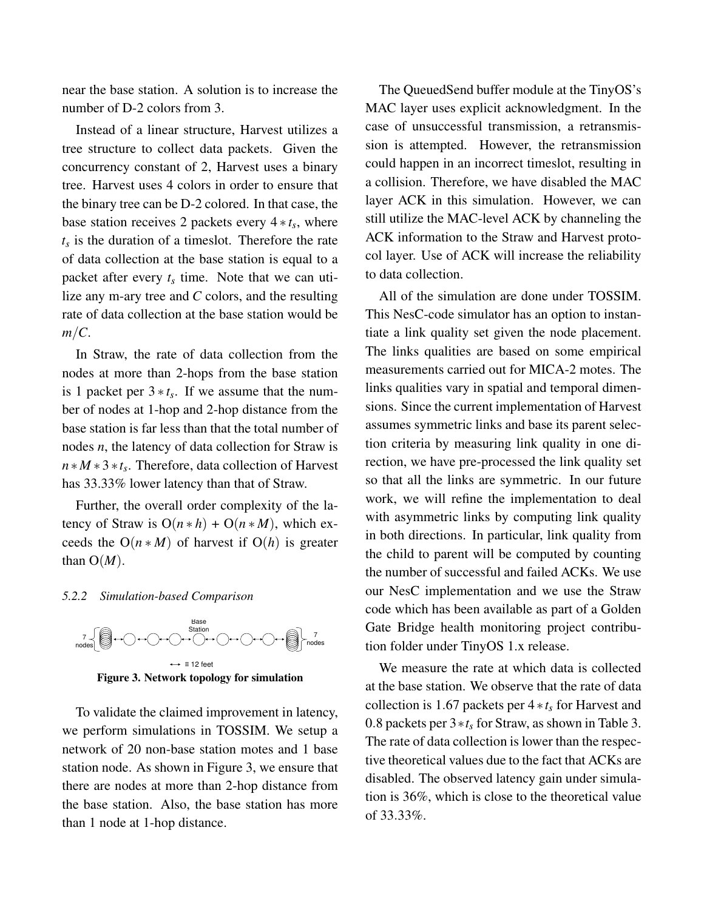near the base station. A solution is to increase the number of D-2 colors from 3.

Instead of a linear structure, Harvest utilizes a tree structure to collect data packets. Given the concurrency constant of 2, Harvest uses a binary tree. Harvest uses 4 colors in order to ensure that the binary tree can be D-2 colored. In that case, the base station receives 2 packets every 4 ∗ *t<sup>s</sup>* , where  $t_s$  is the duration of a timeslot. Therefore the rate of data collection at the base station is equal to a packet after every  $t_s$  time. Note that we can utilize any m-ary tree and *C* colors, and the resulting rate of data collection at the base station would be *m*/*C*.

In Straw, the rate of data collection from the nodes at more than 2-hops from the base station is 1 packet per  $3 * t_s$ . If we assume that the number of nodes at 1-hop and 2-hop distance from the base station is far less than that the total number of nodes *n*, the latency of data collection for Straw is *n* ∗ *M* ∗ 3 ∗*t<sup>s</sup>* . Therefore, data collection of Harvest has 33.33% lower latency than that of Straw.

Further, the overall order complexity of the latency of Straw is  $O(n * h) + O(n * M)$ , which exceeds the  $O(n * M)$  of harvest if  $O(h)$  is greater than  $O(M)$ .

#### *5.2.2 Simulation-based Comparison*



To validate the claimed improvement in latency, we perform simulations in TOSSIM. We setup a network of 20 non-base station motes and 1 base station node. As shown in Figure 3, we ensure that there are nodes at more than 2-hop distance from the base station. Also, the base station has more than 1 node at 1-hop distance.

The QueuedSend buffer module at the TinyOS's MAC layer uses explicit acknowledgment. In the case of unsuccessful transmission, a retransmission is attempted. However, the retransmission could happen in an incorrect timeslot, resulting in a collision. Therefore, we have disabled the MAC layer ACK in this simulation. However, we can still utilize the MAC-level ACK by channeling the ACK information to the Straw and Harvest protocol layer. Use of ACK will increase the reliability to data collection.

All of the simulation are done under TOSSIM. This NesC-code simulator has an option to instantiate a link quality set given the node placement. The links qualities are based on some empirical measurements carried out for MICA-2 motes. The links qualities vary in spatial and temporal dimensions. Since the current implementation of Harvest assumes symmetric links and base its parent selection criteria by measuring link quality in one direction, we have pre-processed the link quality set so that all the links are symmetric. In our future work, we will refine the implementation to deal with asymmetric links by computing link quality in both directions. In particular, link quality from the child to parent will be computed by counting the number of successful and failed ACKs. We use our NesC implementation and we use the Straw code which has been available as part of a Golden Gate Bridge health monitoring project contribution folder under TinyOS 1.x release.

We measure the rate at which data is collected at the base station. We observe that the rate of data collection is 1.67 packets per 4 ∗*t<sup>s</sup>* for Harvest and 0.8 packets per 3∗*t<sup>s</sup>* for Straw, as shown in Table 3. The rate of data collection is lower than the respective theoretical values due to the fact that ACKs are disabled. The observed latency gain under simulation is 36%, which is close to the theoretical value of 33.33%.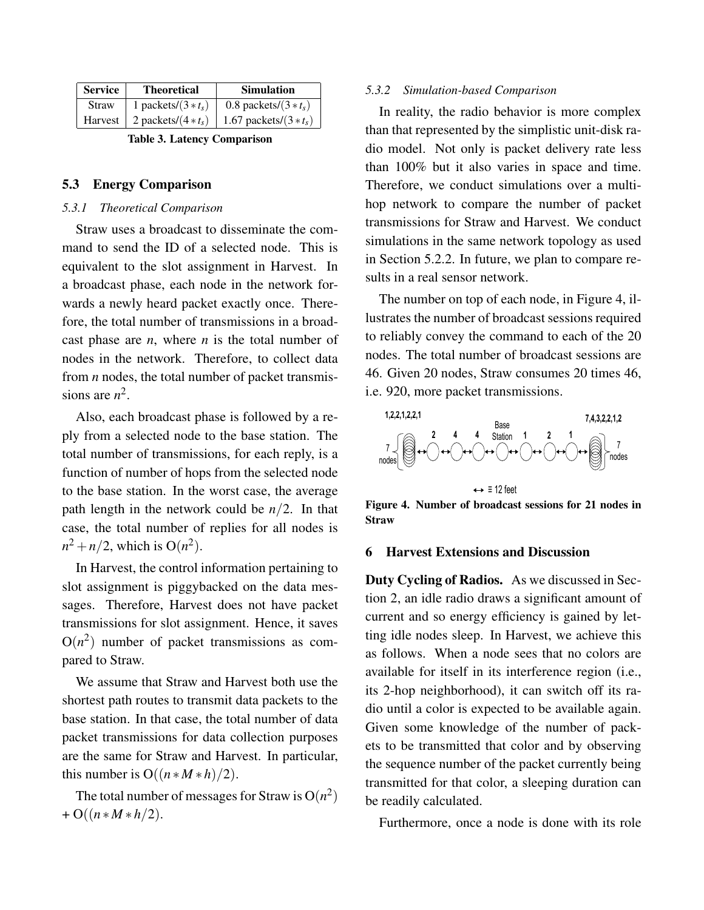| <b>Service</b> | <b>Theoretical</b>    | <b>Simulation</b>      |
|----------------|-----------------------|------------------------|
| <b>Straw</b>   | 1 packets/ $(3 * ts)$ | 0.8 packets/ $(3*t_s)$ |
| Harvest        | 2 packets/ $(4 * ts)$ | 1.67 packets/ $(3*ts)$ |

Table 3. Latency Comparison

#### 5.3 Energy Comparison

# *5.3.1 Theoretical Comparison*

Straw uses a broadcast to disseminate the command to send the ID of a selected node. This is equivalent to the slot assignment in Harvest. In a broadcast phase, each node in the network forwards a newly heard packet exactly once. Therefore, the total number of transmissions in a broadcast phase are *n*, where *n* is the total number of nodes in the network. Therefore, to collect data from *n* nodes, the total number of packet transmissions are  $n^2$ .

Also, each broadcast phase is followed by a reply from a selected node to the base station. The total number of transmissions, for each reply, is a function of number of hops from the selected node to the base station. In the worst case, the average path length in the network could be *n*/2. In that case, the total number of replies for all nodes is  $n^2 + n/2$ , which is  $O(n^2)$ .

In Harvest, the control information pertaining to slot assignment is piggybacked on the data messages. Therefore, Harvest does not have packet transmissions for slot assignment. Hence, it saves  $O(n^2)$  number of packet transmissions as compared to Straw.

We assume that Straw and Harvest both use the shortest path routes to transmit data packets to the base station. In that case, the total number of data packet transmissions for data collection purposes are the same for Straw and Harvest. In particular, this number is  $O((n * M * h)/2)$ .

The total number of messages for Straw is  $O(n^2)$  $+ O((n * M * h/2)).$ 

#### *5.3.2 Simulation-based Comparison*

In reality, the radio behavior is more complex than that represented by the simplistic unit-disk radio model. Not only is packet delivery rate less than 100% but it also varies in space and time. Therefore, we conduct simulations over a multihop network to compare the number of packet transmissions for Straw and Harvest. We conduct simulations in the same network topology as used in Section 5.2.2. In future, we plan to compare results in a real sensor network.

The number on top of each node, in Figure 4, illustrates the number of broadcast sessions required to reliably convey the command to each of the 20 nodes. The total number of broadcast sessions are 46. Given 20 nodes, Straw consumes 20 times 46, i.e. 920, more packet transmissions.



Figure 4. Number of broadcast sessions for 21 nodes in Straw

#### 6 Harvest Extensions and Discussion

Duty Cycling of Radios. As we discussed in Section 2, an idle radio draws a significant amount of current and so energy efficiency is gained by letting idle nodes sleep. In Harvest, we achieve this as follows. When a node sees that no colors are available for itself in its interference region (i.e., its 2-hop neighborhood), it can switch off its radio until a color is expected to be available again. Given some knowledge of the number of packets to be transmitted that color and by observing the sequence number of the packet currently being transmitted for that color, a sleeping duration can be readily calculated.

Furthermore, once a node is done with its role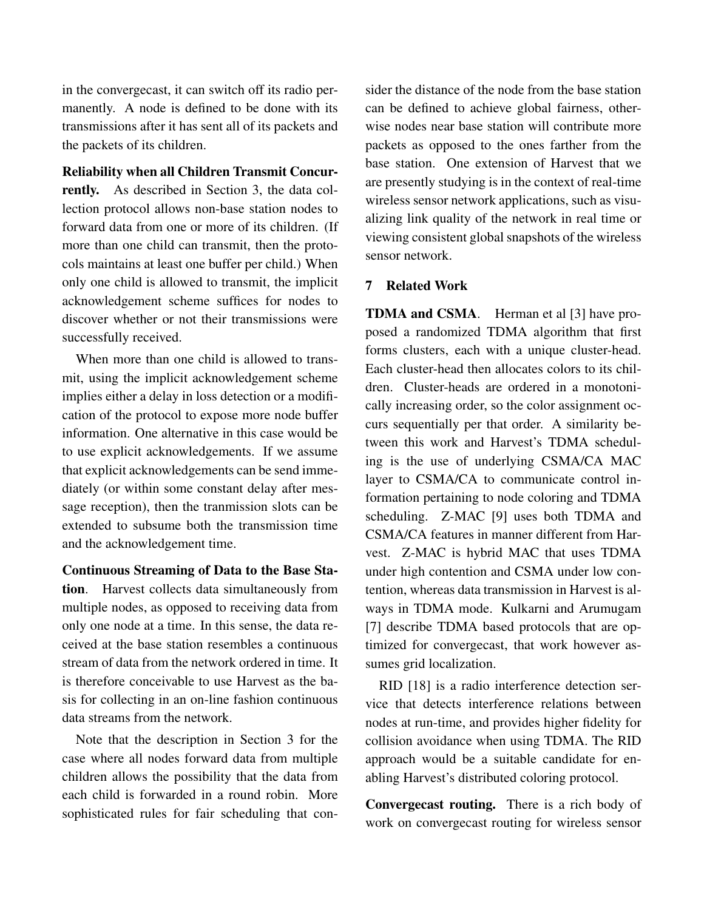in the convergecast, it can switch off its radio permanently. A node is defined to be done with its transmissions after it has sent all of its packets and the packets of its children.

Reliability when all Children Transmit Concur-

rently. As described in Section 3, the data collection protocol allows non-base station nodes to forward data from one or more of its children. (If more than one child can transmit, then the protocols maintains at least one buffer per child.) When only one child is allowed to transmit, the implicit acknowledgement scheme suffices for nodes to discover whether or not their transmissions were successfully received.

When more than one child is allowed to transmit, using the implicit acknowledgement scheme implies either a delay in loss detection or a modification of the protocol to expose more node buffer information. One alternative in this case would be to use explicit acknowledgements. If we assume that explicit acknowledgements can be send immediately (or within some constant delay after message reception), then the tranmission slots can be extended to subsume both the transmission time and the acknowledgement time.

Continuous Streaming of Data to the Base Station. Harvest collects data simultaneously from multiple nodes, as opposed to receiving data from only one node at a time. In this sense, the data received at the base station resembles a continuous stream of data from the network ordered in time. It is therefore conceivable to use Harvest as the basis for collecting in an on-line fashion continuous data streams from the network.

Note that the description in Section 3 for the case where all nodes forward data from multiple children allows the possibility that the data from each child is forwarded in a round robin. More sophisticated rules for fair scheduling that consider the distance of the node from the base station can be defined to achieve global fairness, otherwise nodes near base station will contribute more packets as opposed to the ones farther from the base station. One extension of Harvest that we are presently studying is in the context of real-time wireless sensor network applications, such as visualizing link quality of the network in real time or viewing consistent global snapshots of the wireless sensor network.

# 7 Related Work

TDMA and CSMA. Herman et al [3] have proposed a randomized TDMA algorithm that first forms clusters, each with a unique cluster-head. Each cluster-head then allocates colors to its children. Cluster-heads are ordered in a monotonically increasing order, so the color assignment occurs sequentially per that order. A similarity between this work and Harvest's TDMA scheduling is the use of underlying CSMA/CA MAC layer to CSMA/CA to communicate control information pertaining to node coloring and TDMA scheduling. Z-MAC [9] uses both TDMA and CSMA/CA features in manner different from Harvest. Z-MAC is hybrid MAC that uses TDMA under high contention and CSMA under low contention, whereas data transmission in Harvest is always in TDMA mode. Kulkarni and Arumugam [7] describe TDMA based protocols that are optimized for convergecast, that work however assumes grid localization.

RID [18] is a radio interference detection service that detects interference relations between nodes at run-time, and provides higher fidelity for collision avoidance when using TDMA. The RID approach would be a suitable candidate for enabling Harvest's distributed coloring protocol.

Convergecast routing. There is a rich body of work on convergecast routing for wireless sensor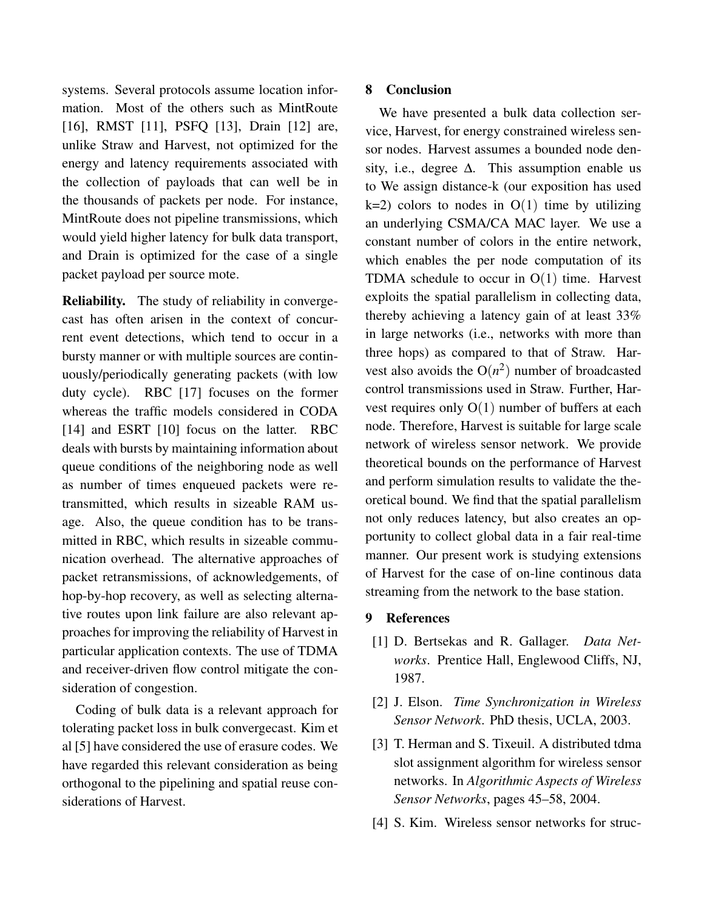systems. Several protocols assume location information. Most of the others such as MintRoute [16], RMST [11], PSFQ [13], Drain [12] are, unlike Straw and Harvest, not optimized for the energy and latency requirements associated with the collection of payloads that can well be in the thousands of packets per node. For instance, MintRoute does not pipeline transmissions, which would yield higher latency for bulk data transport, and Drain is optimized for the case of a single packet payload per source mote.

Reliability. The study of reliability in convergecast has often arisen in the context of concurrent event detections, which tend to occur in a bursty manner or with multiple sources are continuously/periodically generating packets (with low duty cycle). RBC [17] focuses on the former whereas the traffic models considered in CODA [14] and ESRT [10] focus on the latter. RBC deals with bursts by maintaining information about queue conditions of the neighboring node as well as number of times enqueued packets were retransmitted, which results in sizeable RAM usage. Also, the queue condition has to be transmitted in RBC, which results in sizeable communication overhead. The alternative approaches of packet retransmissions, of acknowledgements, of hop-by-hop recovery, as well as selecting alternative routes upon link failure are also relevant approaches for improving the reliability of Harvest in particular application contexts. The use of TDMA and receiver-driven flow control mitigate the consideration of congestion.

Coding of bulk data is a relevant approach for tolerating packet loss in bulk convergecast. Kim et al [5] have considered the use of erasure codes. We have regarded this relevant consideration as being orthogonal to the pipelining and spatial reuse considerations of Harvest.

## 8 Conclusion

We have presented a bulk data collection service, Harvest, for energy constrained wireless sensor nodes. Harvest assumes a bounded node density, i.e., degree  $\Delta$ . This assumption enable us to We assign distance-k (our exposition has used  $k=2$ ) colors to nodes in  $O(1)$  time by utilizing an underlying CSMA/CA MAC layer. We use a constant number of colors in the entire network, which enables the per node computation of its TDMA schedule to occur in  $O(1)$  time. Harvest exploits the spatial parallelism in collecting data, thereby achieving a latency gain of at least 33% in large networks (i.e., networks with more than three hops) as compared to that of Straw. Harvest also avoids the  $O(n^2)$  number of broadcasted control transmissions used in Straw. Further, Harvest requires only  $O(1)$  number of buffers at each node. Therefore, Harvest is suitable for large scale network of wireless sensor network. We provide theoretical bounds on the performance of Harvest and perform simulation results to validate the theoretical bound. We find that the spatial parallelism not only reduces latency, but also creates an opportunity to collect global data in a fair real-time manner. Our present work is studying extensions of Harvest for the case of on-line continous data streaming from the network to the base station.

# 9 References

- [1] D. Bertsekas and R. Gallager. *Data Networks*. Prentice Hall, Englewood Cliffs, NJ, 1987.
- [2] J. Elson. *Time Synchronization in Wireless Sensor Network*. PhD thesis, UCLA, 2003.
- [3] T. Herman and S. Tixeuil. A distributed tdma slot assignment algorithm for wireless sensor networks. In *Algorithmic Aspects of Wireless Sensor Networks*, pages 45–58, 2004.
- [4] S. Kim. Wireless sensor networks for struc-